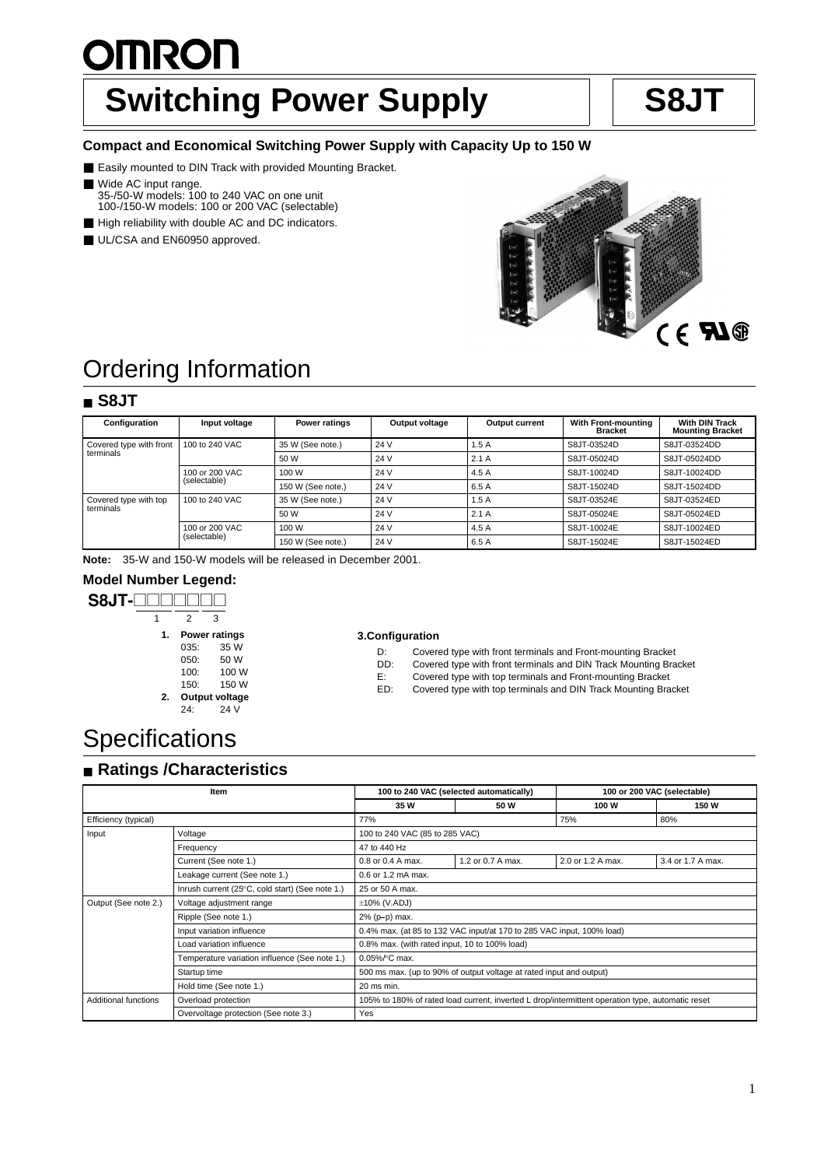# <u>OMRON</u> **Switching Power Supply | S8JT**

### **Compact and Economical Switching Power Supply with Capacity Up to 150 W**

- Easily mounted to DIN Track with provided Mounting Bracket.
- Wide AC input range.
	- 35-/50-W models: 100 to 240 VAC on one unit 100-/150-W models: 100 or 200 VAC (selectable)
- High reliability with double AC and DC indicators.
- UL/CSA and EN60950 approved.



## Ordering Information

### ■ **S8JT**

| Configuration                        | Input voltage                  | Power ratings     | Output voltage | Output current | <b>With Front-mounting</b><br><b>Bracket</b> | <b>With DIN Track</b><br><b>Mounting Bracket</b> |
|--------------------------------------|--------------------------------|-------------------|----------------|----------------|----------------------------------------------|--------------------------------------------------|
| Covered type with front<br>terminals | 100 to 240 VAC                 | 35 W (See note.)  | 24 V           | 1.5 A          | S8JT-03524D                                  | S8JT-03524DD                                     |
|                                      |                                | 50 W              | 24 V           | 2.1A           | S8JT-05024D                                  | S8JT-05024DD                                     |
|                                      | 100 or 200 VAC<br>(selectable) | 100 W             | 24 V           | 4.5 A          | S8JT-10024D                                  | S8JT-10024DD                                     |
|                                      |                                | 150 W (See note.) | 24 V           | 6.5 A          | S8JT-15024D                                  | S8JT-15024DD                                     |
| Covered type with top<br>terminals   | 100 to 240 VAC                 | 35 W (See note.)  | 24 V           | 1.5 A          | S8JT-03524E                                  | S8JT-03524ED                                     |
|                                      |                                | 50 W              | 24 V           | 2.1A           | S8JT-05024E                                  | S8JT-05024ED                                     |
|                                      | 100 or 200 VAC<br>(selectable) | 100 W             | 24 V           | 4.5 A          | S8JT-10024E                                  | S8JT-10024ED                                     |
|                                      |                                | 150 W (See note.) | 24 V           | 6.5 A          | S8JT-15024E                                  | S8JT-15024ED                                     |

**Note:** 35-W and 150-W models will be released in December 2001.

### **Model Number Legend:**



### 050: 50 W 100: 100 W<br>150: 150 W 150: 150 W

**2. Output voltage** 24: 24 V

#### **3.Configuration**

- D: Covered type with front terminals and Front-mounting Bracket<br>DD: Covered type with front terminals and DIN Track Mounting Bra
	- Covered type with front terminals and DIN Track Mounting Bracket
- E: Covered type with top terminals and Front-mounting Bracket<br>ED: Covered type with top terminals and DIN Track Mounting Bra
	- Covered type with top terminals and DIN Track Mounting Bracket

### **Specifications**

### ■ **Ratings /Characteristics**

| Item                        |                                                                  | 100 to 240 VAC (selected automatically)                                                          |                   | 100 or 200 VAC (selectable) |                   |  |
|-----------------------------|------------------------------------------------------------------|--------------------------------------------------------------------------------------------------|-------------------|-----------------------------|-------------------|--|
|                             |                                                                  | 35 W                                                                                             | 50 W              | 100 W                       | 150W              |  |
| Efficiency (typical)        |                                                                  | 77%                                                                                              |                   | 75%                         | 80%               |  |
| Input                       | Voltage                                                          | 100 to 240 VAC (85 to 285 VAC)                                                                   |                   |                             |                   |  |
|                             | Frequency                                                        | 47 to 440 Hz                                                                                     |                   |                             |                   |  |
|                             | Current (See note 1.)                                            | 0.8 or 0.4 A max.                                                                                | 1.2 or 0.7 A max. | 2.0 or 1.2 A max.           | 3.4 or 1.7 A max. |  |
|                             | Leakage current (See note 1.)                                    | 0.6 or 1.2 mA max.                                                                               |                   |                             |                   |  |
|                             | Inrush current (25°C, cold start) (See note 1.)                  | 25 or 50 A max.                                                                                  |                   |                             |                   |  |
| Output (See note 2.)        | Voltage adjustment range                                         | $\pm 10\%$ (V.ADJ)                                                                               |                   |                             |                   |  |
|                             | Ripple (See note 1.)<br>2% (p-p) max.                            |                                                                                                  |                   |                             |                   |  |
|                             | Input variation influence                                        | 0.4% max. (at 85 to 132 VAC input/at 170 to 285 VAC input, 100% load)                            |                   |                             |                   |  |
|                             | Load variation influence                                         | 0.8% max. (with rated input, 10 to 100% load)                                                    |                   |                             |                   |  |
|                             | Temperature variation influence (See note 1.)<br>$0.05\%$ C max. |                                                                                                  |                   |                             |                   |  |
|                             | Startup time                                                     | 500 ms max. (up to 90% of output voltage at rated input and output)                              |                   |                             |                   |  |
|                             | Hold time (See note 1.)                                          | 20 ms min.                                                                                       |                   |                             |                   |  |
| <b>Additional functions</b> | Overload protection                                              | 105% to 180% of rated load current, inverted L drop/intermittent operation type, automatic reset |                   |                             |                   |  |
|                             | Overvoltage protection (See note 3.)                             | Yes                                                                                              |                   |                             |                   |  |